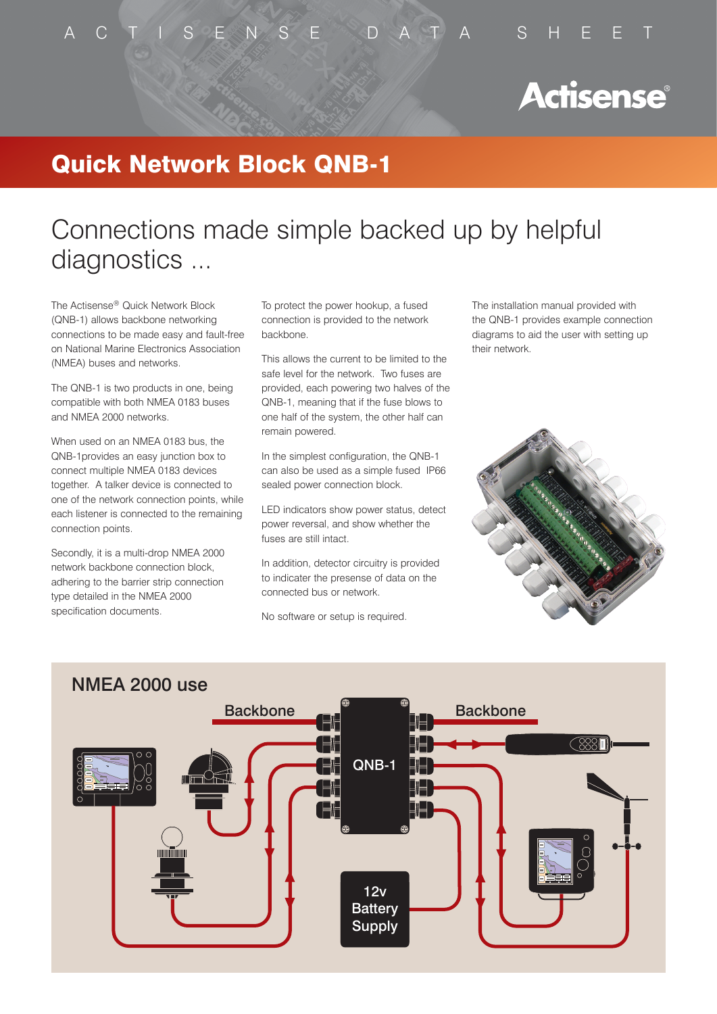### A C T I S E N S E D A T A S H E E T

# **Actisense®**

### Quick Network Block QNB-1

# Connections made simple backed up by helpful diagnostics ...

The Actisense® Quick Network Block (QNB-1) allows backbone networking connections to be made easy and fault-free on National Marine Electronics Association (NMEA) buses and networks.

The QNB-1 is two products in one, being compatible with both NMEA 0183 buses and NMEA 2000 networks.

When used on an NMEA 0183 bus, the QNB-1provides an easy junction box to connect multiple NMEA 0183 devices together. A talker device is connected to one of the network connection points, while each listener is connected to the remaining connection points.

Secondly, it is a multi-drop NMEA 2000 network backbone connection block, adhering to the barrier strip connection type detailed in the NMEA 2000 specification documents.

To protect the power hookup, a fused connection is provided to the network backbone.

This allows the current to be limited to the safe level for the network. Two fuses are provided, each powering two halves of the QNB-1, meaning that if the fuse blows to one half of the system, the other half can remain powered.

In the simplest configuration, the QNB-1 can also be used as a simple fused IP66 sealed power connection block.

LED indicators show power status, detect power reversal, and show whether the fuses are still intact.

In addition, detector circuitry is provided to indicater the presense of data on the connected bus or network.

No software or setup is required.

The installation manual provided with the QNB-1 provides example connection diagrams to aid the user with setting up their network.





### NMEA 2000 use